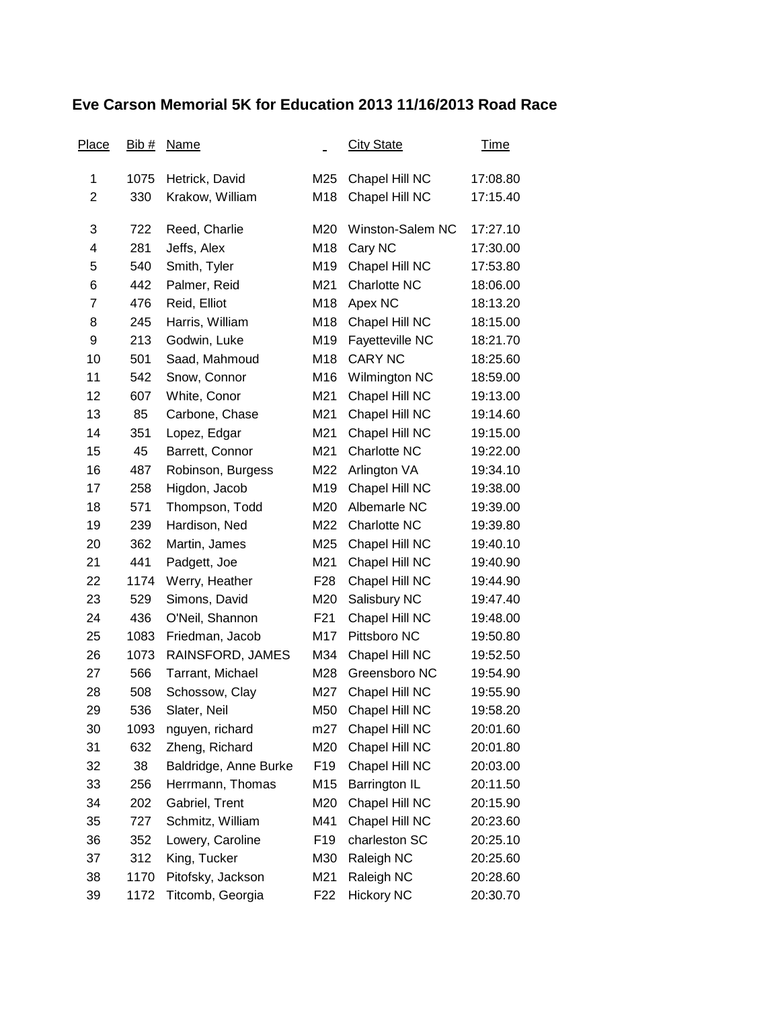## **Eve Carson Memorial 5K for Education 2013 11/16/2013 Road Race**

| Place | Bib# | <b>Name</b>           |                 | <b>City State</b>   | <u>Time</u> |
|-------|------|-----------------------|-----------------|---------------------|-------------|
| 1     | 1075 | Hetrick, David        | M25             | Chapel Hill NC      | 17:08.80    |
| 2     | 330  | Krakow, William       | M18             | Chapel Hill NC      | 17:15.40    |
| 3     | 722  | Reed, Charlie         | M20             | Winston-Salem NC    | 17:27.10    |
| 4     | 281  | Jeffs, Alex           | M18             | Cary NC             | 17:30.00    |
| 5     | 540  | Smith, Tyler          | M19             | Chapel Hill NC      | 17:53.80    |
| 6     | 442  | Palmer, Reid          | M21             | Charlotte NC        | 18:06.00    |
| 7     | 476  | Reid, Elliot          | M18             | Apex NC             | 18:13.20    |
| 8     | 245  | Harris, William       | M18             | Chapel Hill NC      | 18:15.00    |
| 9     | 213  | Godwin, Luke          | M19             | Fayetteville NC     | 18:21.70    |
| 10    | 501  | Saad, Mahmoud         | M18             | <b>CARY NC</b>      | 18:25.60    |
| 11    | 542  | Snow, Connor          | M16             | Wilmington NC       | 18:59.00    |
| 12    | 607  | White, Conor          | M21             | Chapel Hill NC      | 19:13.00    |
| 13    | 85   | Carbone, Chase        | M21             | Chapel Hill NC      | 19:14.60    |
| 14    | 351  | Lopez, Edgar          | M21             | Chapel Hill NC      | 19:15.00    |
| 15    | 45   | Barrett, Connor       | M21             | <b>Charlotte NC</b> | 19:22.00    |
| 16    | 487  | Robinson, Burgess     | M22             | Arlington VA        | 19:34.10    |
| 17    | 258  | Higdon, Jacob         | M19             | Chapel Hill NC      | 19:38.00    |
| 18    | 571  | Thompson, Todd        | M20             | Albemarle NC        | 19:39.00    |
| 19    | 239  | Hardison, Ned         | M22             | Charlotte NC        | 19:39.80    |
| 20    | 362  | Martin, James         | M25             | Chapel Hill NC      | 19:40.10    |
| 21    | 441  | Padgett, Joe          | M21             | Chapel Hill NC      | 19:40.90    |
| 22    | 1174 | Werry, Heather        | F <sub>28</sub> | Chapel Hill NC      | 19:44.90    |
| 23    | 529  | Simons, David         | M20             | Salisbury NC        | 19:47.40    |
| 24    | 436  | O'Neil, Shannon       | F <sub>21</sub> | Chapel Hill NC      | 19:48.00    |
| 25    | 1083 | Friedman, Jacob       | M17             | Pittsboro NC        | 19:50.80    |
| 26    | 1073 | RAINSFORD, JAMES      | M34             | Chapel Hill NC      | 19:52.50    |
| 27    | 566  | Tarrant, Michael      | M28             | Greensboro NC       | 19:54.90    |
| 28    | 508  | Schossow, Clay        | M27             | Chapel Hill NC      | 19:55.90    |
| 29    | 536  | Slater, Neil          | M50             | Chapel Hill NC      | 19:58.20    |
| 30    | 1093 | nguyen, richard       | m27             | Chapel Hill NC      | 20:01.60    |
| 31    | 632  | Zheng, Richard        | M20             | Chapel Hill NC      | 20:01.80    |
| 32    | 38   | Baldridge, Anne Burke | F <sub>19</sub> | Chapel Hill NC      | 20:03.00    |
| 33    | 256  | Herrmann, Thomas      | M15             | Barrington IL       | 20:11.50    |
| 34    | 202  | Gabriel, Trent        | M20             | Chapel Hill NC      | 20:15.90    |
| 35    | 727  | Schmitz, William      | M41             | Chapel Hill NC      | 20:23.60    |
| 36    | 352  | Lowery, Caroline      | F <sub>19</sub> | charleston SC       | 20:25.10    |
| 37    | 312  | King, Tucker          | M30             | Raleigh NC          | 20:25.60    |
| 38    | 1170 | Pitofsky, Jackson     | M21             | Raleigh NC          | 20:28.60    |
| 39    | 1172 | Titcomb, Georgia      | F <sub>22</sub> | <b>Hickory NC</b>   | 20:30.70    |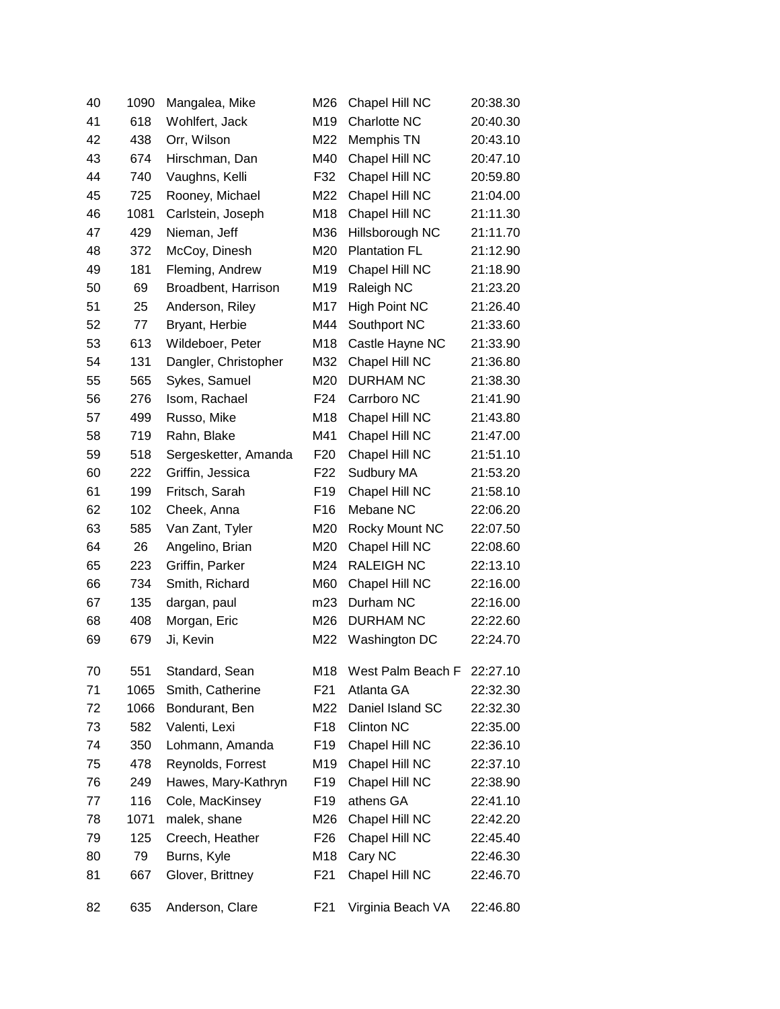| 40 | 1090 | Mangalea, Mike       | M26             | Chapel Hill NC       | 20:38.30 |
|----|------|----------------------|-----------------|----------------------|----------|
| 41 | 618  | Wohlfert, Jack       | M19             | Charlotte NC         | 20:40.30 |
| 42 | 438  | Orr, Wilson          | M22             | Memphis TN           | 20:43.10 |
| 43 | 674  | Hirschman, Dan       | M40             | Chapel Hill NC       | 20:47.10 |
| 44 | 740  | Vaughns, Kelli       | F32             | Chapel Hill NC       | 20:59.80 |
| 45 | 725  | Rooney, Michael      | M22             | Chapel Hill NC       | 21:04.00 |
| 46 | 1081 | Carlstein, Joseph    | M18             | Chapel Hill NC       | 21:11.30 |
| 47 | 429  | Nieman, Jeff         | M36             | Hillsborough NC      | 21:11.70 |
| 48 | 372  | McCoy, Dinesh        | M20             | <b>Plantation FL</b> | 21:12.90 |
| 49 | 181  | Fleming, Andrew      | M19             | Chapel Hill NC       | 21:18.90 |
| 50 | 69   | Broadbent, Harrison  | M19             | Raleigh NC           | 21:23.20 |
| 51 | 25   | Anderson, Riley      | M17             | <b>High Point NC</b> | 21:26.40 |
| 52 | 77   | Bryant, Herbie       | M44             | Southport NC         | 21:33.60 |
| 53 | 613  | Wildeboer, Peter     | M18             | Castle Hayne NC      | 21:33.90 |
| 54 | 131  | Dangler, Christopher | M32             | Chapel Hill NC       | 21:36.80 |
| 55 | 565  | Sykes, Samuel        | M20             | DURHAM NC            | 21:38.30 |
| 56 | 276  | Isom, Rachael        | F <sub>24</sub> | Carrboro NC          | 21:41.90 |
| 57 | 499  | Russo, Mike          | M18             | Chapel Hill NC       | 21:43.80 |
| 58 | 719  | Rahn, Blake          | M41             | Chapel Hill NC       | 21:47.00 |
| 59 | 518  | Sergesketter, Amanda | F <sub>20</sub> | Chapel Hill NC       | 21:51.10 |
| 60 | 222  | Griffin, Jessica     | F <sub>22</sub> | Sudbury MA           | 21:53.20 |
| 61 | 199  | Fritsch, Sarah       | F <sub>19</sub> | Chapel Hill NC       | 21:58.10 |
| 62 | 102  | Cheek, Anna          | F <sub>16</sub> | Mebane NC            | 22:06.20 |
| 63 | 585  | Van Zant, Tyler      | M20             | Rocky Mount NC       | 22:07.50 |
| 64 | 26   | Angelino, Brian      | M20             | Chapel Hill NC       | 22:08.60 |
| 65 | 223  | Griffin, Parker      | M24             | <b>RALEIGH NC</b>    | 22:13.10 |
| 66 | 734  | Smith, Richard       | M60             | Chapel Hill NC       | 22:16.00 |
| 67 | 135  | dargan, paul         | m23             | Durham NC            | 22:16.00 |
| 68 | 408  | Morgan, Eric         | M26             | <b>DURHAM NC</b>     | 22:22.60 |
| 69 | 679  | Ji, Kevin            | M22             | Washington DC        | 22:24.70 |
| 70 | 551  | Standard, Sean       | M18             | West Palm Beach F    | 22:27.10 |
| 71 | 1065 | Smith, Catherine     | F <sub>21</sub> | Atlanta GA           | 22:32.30 |
| 72 | 1066 | Bondurant, Ben       | M22             | Daniel Island SC     | 22:32.30 |
| 73 | 582  | Valenti, Lexi        | F <sub>18</sub> | <b>Clinton NC</b>    | 22:35.00 |
| 74 | 350  | Lohmann, Amanda      | F <sub>19</sub> | Chapel Hill NC       | 22:36.10 |
| 75 | 478  | Reynolds, Forrest    | M19             | Chapel Hill NC       | 22:37.10 |
| 76 | 249  | Hawes, Mary-Kathryn  | F <sub>19</sub> | Chapel Hill NC       | 22:38.90 |
| 77 | 116  | Cole, MacKinsey      | F <sub>19</sub> | athens GA            | 22:41.10 |
| 78 | 1071 | malek, shane         | M26             | Chapel Hill NC       | 22:42.20 |
| 79 | 125  | Creech, Heather      | F <sub>26</sub> | Chapel Hill NC       | 22:45.40 |
| 80 | 79   | Burns, Kyle          | M18             | Cary NC              | 22:46.30 |
| 81 | 667  | Glover, Brittney     | F <sub>21</sub> | Chapel Hill NC       | 22:46.70 |
| 82 | 635  | Anderson, Clare      | F <sub>21</sub> | Virginia Beach VA    | 22:46.80 |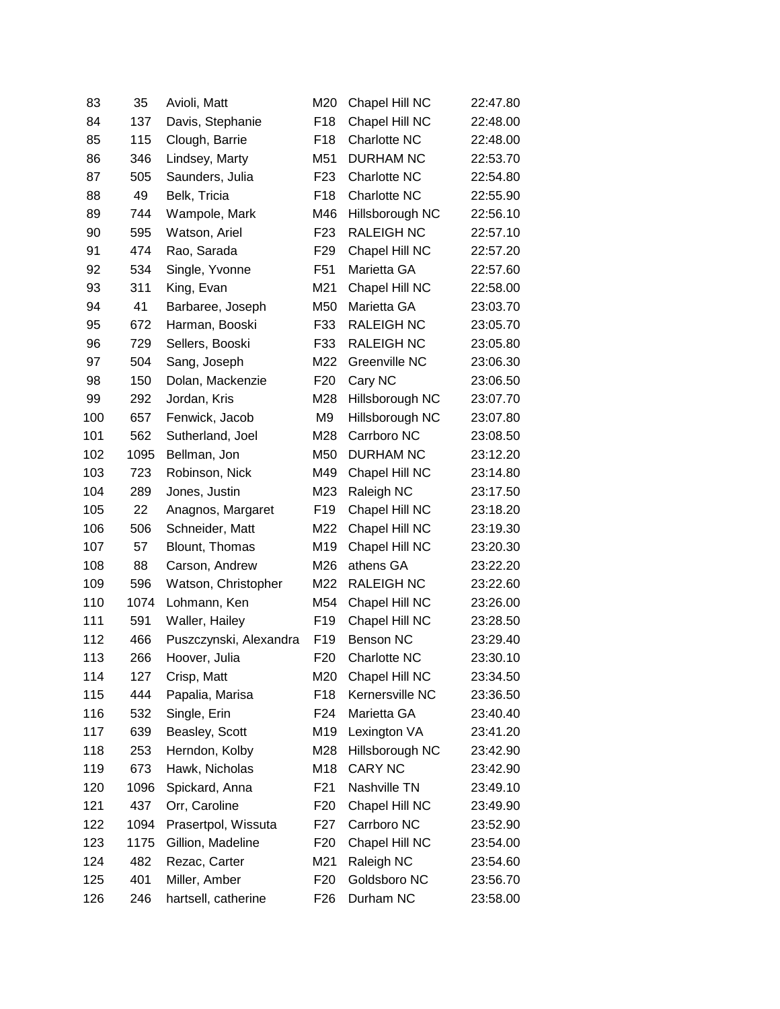| 83  | 35   | Avioli, Matt           | M20             | Chapel Hill NC      | 22:47.80 |
|-----|------|------------------------|-----------------|---------------------|----------|
| 84  | 137  | Davis, Stephanie       | F <sub>18</sub> | Chapel Hill NC      | 22:48.00 |
| 85  | 115  | Clough, Barrie         | F <sub>18</sub> | Charlotte NC        | 22:48.00 |
| 86  | 346  | Lindsey, Marty         | M51             | <b>DURHAM NC</b>    | 22:53.70 |
| 87  | 505  | Saunders, Julia        | F <sub>23</sub> | Charlotte NC        | 22:54.80 |
| 88  | 49   | Belk, Tricia           | F <sub>18</sub> | Charlotte NC        | 22:55.90 |
| 89  | 744  | Wampole, Mark          | M46             | Hillsborough NC     | 22:56.10 |
| 90  | 595  | Watson, Ariel          | F <sub>23</sub> | <b>RALEIGH NC</b>   | 22:57.10 |
| 91  | 474  | Rao, Sarada            | F <sub>29</sub> | Chapel Hill NC      | 22:57.20 |
| 92  | 534  | Single, Yvonne         | F <sub>51</sub> | Marietta GA         | 22:57.60 |
| 93  | 311  | King, Evan             | M21             | Chapel Hill NC      | 22:58.00 |
| 94  | 41   | Barbaree, Joseph       | M50             | Marietta GA         | 23:03.70 |
| 95  | 672  | Harman, Booski         | F33             | <b>RALEIGH NC</b>   | 23:05.70 |
| 96  | 729  | Sellers, Booski        | F33             | <b>RALEIGH NC</b>   | 23:05.80 |
| 97  | 504  | Sang, Joseph           | M22             | Greenville NC       | 23:06.30 |
| 98  | 150  | Dolan, Mackenzie       | F <sub>20</sub> | Cary NC             | 23:06.50 |
| 99  | 292  | Jordan, Kris           | M28             | Hillsborough NC     | 23:07.70 |
| 100 | 657  | Fenwick, Jacob         | M <sub>9</sub>  | Hillsborough NC     | 23:07.80 |
| 101 | 562  | Sutherland, Joel       | M28             | Carrboro NC         | 23:08.50 |
| 102 | 1095 | Bellman, Jon           | M50             | <b>DURHAM NC</b>    | 23:12.20 |
| 103 | 723  | Robinson, Nick         | M49             | Chapel Hill NC      | 23:14.80 |
| 104 | 289  | Jones, Justin          | M23             | Raleigh NC          | 23:17.50 |
| 105 | 22   | Anagnos, Margaret      | F <sub>19</sub> | Chapel Hill NC      | 23:18.20 |
| 106 | 506  | Schneider, Matt        | M22             | Chapel Hill NC      | 23:19.30 |
| 107 | 57   | Blount, Thomas         | M19             | Chapel Hill NC      | 23:20.30 |
| 108 | 88   | Carson, Andrew         | M26             | athens GA           | 23:22.20 |
| 109 | 596  | Watson, Christopher    | M22             | <b>RALEIGH NC</b>   | 23:22.60 |
| 110 | 1074 | Lohmann, Ken           | M54             | Chapel Hill NC      | 23:26.00 |
| 111 | 591  | Waller, Hailey         | F <sub>19</sub> | Chapel Hill NC      | 23:28.50 |
| 112 | 466  | Puszczynski, Alexandra | F <sub>19</sub> | <b>Benson NC</b>    | 23:29.40 |
| 113 | 266  | Hoover, Julia          | F <sub>20</sub> | <b>Charlotte NC</b> | 23:30.10 |
| 114 | 127  | Crisp, Matt            | M20             | Chapel Hill NC      | 23:34.50 |
| 115 | 444  | Papalia, Marisa        | F <sub>18</sub> | Kernersville NC     | 23:36.50 |
| 116 | 532  | Single, Erin           | F24             | Marietta GA         | 23:40.40 |
| 117 | 639  | Beasley, Scott         | M19             | Lexington VA        | 23:41.20 |
| 118 | 253  | Herndon, Kolby         | M28             | Hillsborough NC     | 23:42.90 |
| 119 | 673  | Hawk, Nicholas         | M18             | <b>CARY NC</b>      | 23:42.90 |
| 120 | 1096 | Spickard, Anna         | F21             | Nashville TN        | 23:49.10 |
| 121 | 437  | Orr, Caroline          | F <sub>20</sub> | Chapel Hill NC      | 23:49.90 |
| 122 | 1094 | Prasertpol, Wissuta    | F27             | Carrboro NC         | 23:52.90 |
| 123 | 1175 | Gillion, Madeline      | F <sub>20</sub> | Chapel Hill NC      | 23:54.00 |
| 124 | 482  | Rezac, Carter          | M21             | Raleigh NC          | 23:54.60 |
| 125 | 401  | Miller, Amber          | F <sub>20</sub> | Goldsboro NC        | 23:56.70 |
| 126 | 246  | hartsell, catherine    | F <sub>26</sub> | Durham NC           | 23:58.00 |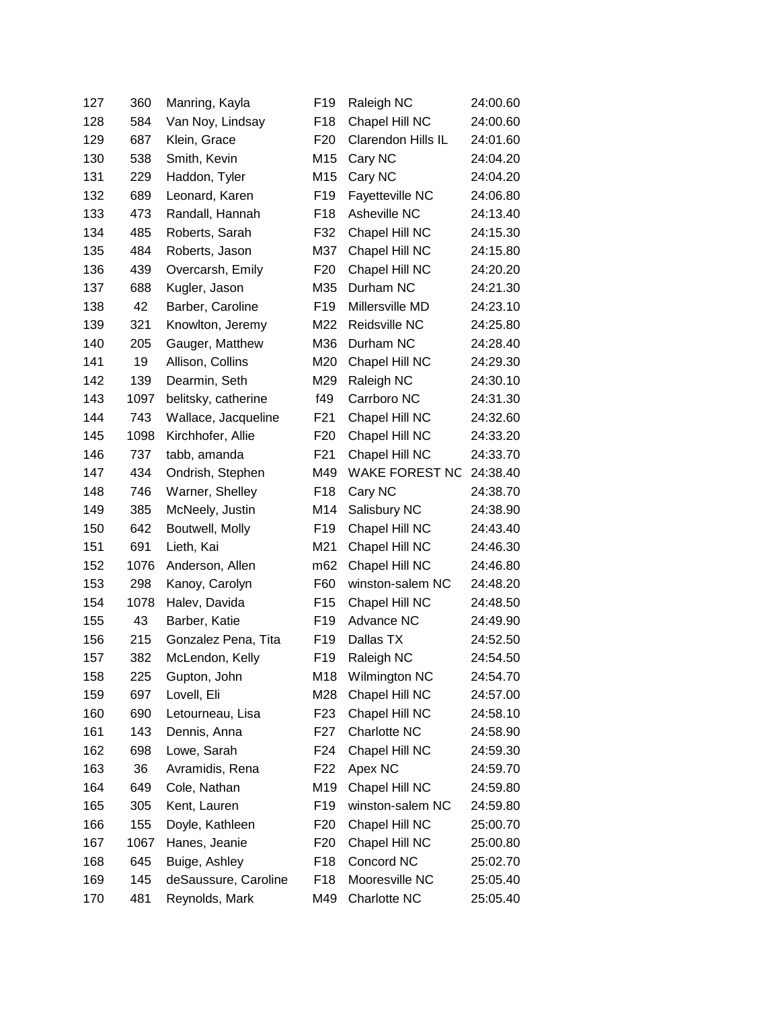| 127 | 360  | Manring, Kayla       | F <sub>19</sub>  | Raleigh NC                | 24:00.60 |
|-----|------|----------------------|------------------|---------------------------|----------|
| 128 | 584  | Van Noy, Lindsay     | F <sub>18</sub>  | Chapel Hill NC            | 24:00.60 |
| 129 | 687  | Klein, Grace         | F <sub>20</sub>  | <b>Clarendon Hills IL</b> | 24:01.60 |
| 130 | 538  | Smith, Kevin         | M15              | Cary NC                   | 24:04.20 |
| 131 | 229  | Haddon, Tyler        | M15              | Cary NC                   | 24:04.20 |
| 132 | 689  | Leonard, Karen       | F <sub>19</sub>  | Fayetteville NC           | 24:06.80 |
| 133 | 473  | Randall, Hannah      | F <sub>18</sub>  | Asheville NC              | 24:13.40 |
| 134 | 485  | Roberts, Sarah       | F32              | Chapel Hill NC            | 24:15.30 |
| 135 | 484  | Roberts, Jason       | M37              | Chapel Hill NC            | 24:15.80 |
| 136 | 439  | Overcarsh, Emily     | F <sub>20</sub>  | Chapel Hill NC            | 24:20.20 |
| 137 | 688  | Kugler, Jason        | M35              | Durham NC                 | 24:21.30 |
| 138 | 42   | Barber, Caroline     | F <sub>19</sub>  | Millersville MD           | 24:23.10 |
| 139 | 321  | Knowlton, Jeremy     | M22              | Reidsville NC             | 24:25.80 |
| 140 | 205  | Gauger, Matthew      | M36              | Durham NC                 | 24:28.40 |
| 141 | 19   | Allison, Collins     | M20              | Chapel Hill NC            | 24:29.30 |
| 142 | 139  | Dearmin, Seth        | M29              | Raleigh NC                | 24:30.10 |
| 143 | 1097 | belitsky, catherine  | f49              | Carrboro NC               | 24:31.30 |
| 144 | 743  | Wallace, Jacqueline  | F <sub>21</sub>  | Chapel Hill NC            | 24:32.60 |
| 145 | 1098 | Kirchhofer, Allie    | F <sub>20</sub>  | Chapel Hill NC            | 24:33.20 |
| 146 | 737  | tabb, amanda         | F <sub>21</sub>  | Chapel Hill NC            | 24:33.70 |
| 147 | 434  | Ondrish, Stephen     | M49              | <b>WAKE FOREST NC</b>     | 24:38.40 |
| 148 | 746  | Warner, Shelley      | F <sub>18</sub>  | Cary NC                   | 24:38.70 |
| 149 | 385  | McNeely, Justin      | M14              | Salisbury NC              | 24:38.90 |
| 150 | 642  | Boutwell, Molly      | F <sub>19</sub>  | Chapel Hill NC            | 24:43.40 |
| 151 | 691  | Lieth, Kai           | M21              | Chapel Hill NC            | 24:46.30 |
| 152 | 1076 | Anderson, Allen      | m62              | Chapel Hill NC            | 24:46.80 |
| 153 | 298  | Kanoy, Carolyn       | F60              | winston-salem NC          | 24:48.20 |
| 154 | 1078 | Halev, Davida        | F <sub>15</sub>  | Chapel Hill NC            | 24:48.50 |
| 155 | 43   | Barber, Katie        | F <sub>19</sub>  | Advance NC                | 24:49.90 |
| 156 | 215  | Gonzalez Pena, Tita  | F <sub>19</sub>  | Dallas TX                 | 24:52.50 |
| 157 | 382  | McLendon, Kelly      | F <sub>19</sub>  | Raleigh NC                | 24:54.50 |
| 158 | 225  | Gupton, John         | M18              | Wilmington NC             | 24:54.70 |
| 159 | 697  | Lovell, Eli          | M28              | Chapel Hill NC            | 24:57.00 |
| 160 | 690  | Letourneau, Lisa     | F <sub>23</sub>  | Chapel Hill NC            | 24:58.10 |
| 161 | 143  | Dennis, Anna         | F <sub>2</sub> 7 | <b>Charlotte NC</b>       | 24:58.90 |
| 162 | 698  | Lowe, Sarah          | F24              | Chapel Hill NC            | 24:59.30 |
| 163 | 36   | Avramidis, Rena      | F <sub>22</sub>  | Apex NC                   | 24:59.70 |
| 164 | 649  | Cole, Nathan         | M19              | Chapel Hill NC            | 24:59.80 |
| 165 | 305  | Kent, Lauren         | F <sub>19</sub>  | winston-salem NC          | 24:59.80 |
| 166 | 155  | Doyle, Kathleen      | F <sub>20</sub>  | Chapel Hill NC            | 25:00.70 |
| 167 | 1067 | Hanes, Jeanie        | F <sub>20</sub>  | Chapel Hill NC            | 25:00.80 |
| 168 | 645  | Buige, Ashley        | F18              | Concord NC                | 25:02.70 |
| 169 | 145  | deSaussure, Caroline | F18              | Mooresville NC            | 25:05.40 |
| 170 | 481  | Reynolds, Mark       | M49              | Charlotte NC              | 25:05.40 |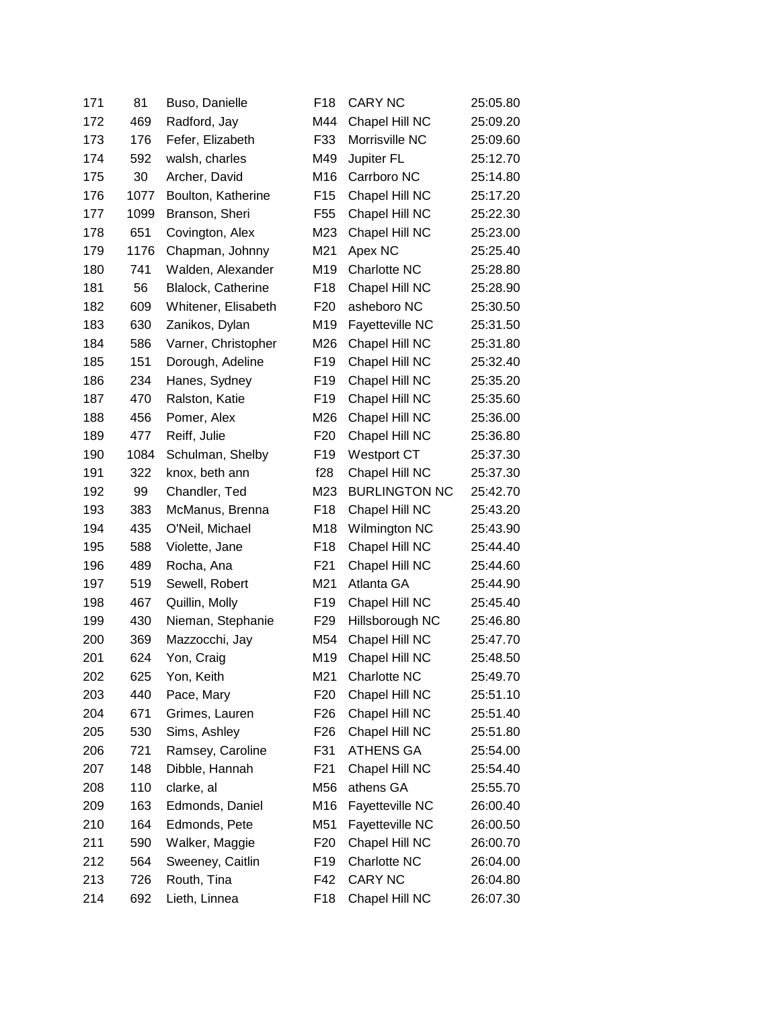| 171 | 81   | Buso, Danielle      | F <sub>18</sub>  | <b>CARY NC</b>       | 25:05.80 |
|-----|------|---------------------|------------------|----------------------|----------|
| 172 | 469  | Radford, Jay        | M44              | Chapel Hill NC       | 25:09.20 |
| 173 | 176  | Fefer, Elizabeth    | F33              | Morrisville NC       | 25:09.60 |
| 174 | 592  | walsh, charles      | M49              | Jupiter FL           | 25:12.70 |
| 175 | 30   | Archer, David       | M16              | Carrboro NC          | 25:14.80 |
| 176 | 1077 | Boulton, Katherine  | F <sub>15</sub>  | Chapel Hill NC       | 25:17.20 |
| 177 | 1099 | Branson, Sheri      | F <sub>55</sub>  | Chapel Hill NC       | 25:22.30 |
| 178 | 651  | Covington, Alex     | M23              | Chapel Hill NC       | 25:23.00 |
| 179 | 1176 | Chapman, Johnny     | M21              | Apex NC              | 25:25.40 |
| 180 | 741  | Walden, Alexander   | M19              | Charlotte NC         | 25:28.80 |
| 181 | 56   | Blalock, Catherine  | F <sub>18</sub>  | Chapel Hill NC       | 25:28.90 |
| 182 | 609  | Whitener, Elisabeth | F <sub>20</sub>  | asheboro NC          | 25:30.50 |
| 183 | 630  | Zanikos, Dylan      | M19              | Fayetteville NC      | 25:31.50 |
| 184 | 586  | Varner, Christopher | M26              | Chapel Hill NC       | 25:31.80 |
| 185 | 151  | Dorough, Adeline    | F <sub>19</sub>  | Chapel Hill NC       | 25:32.40 |
| 186 | 234  | Hanes, Sydney       | F <sub>19</sub>  | Chapel Hill NC       | 25:35.20 |
| 187 | 470  | Ralston, Katie      | F19              | Chapel Hill NC       | 25:35.60 |
| 188 | 456  | Pomer, Alex         | M26              | Chapel Hill NC       | 25:36.00 |
| 189 | 477  | Reiff, Julie        | F <sub>20</sub>  | Chapel Hill NC       | 25:36.80 |
| 190 | 1084 | Schulman, Shelby    | F <sub>19</sub>  | <b>Westport CT</b>   | 25:37.30 |
| 191 | 322  | knox, beth ann      | f28              | Chapel Hill NC       | 25:37.30 |
| 192 | 99   | Chandler, Ted       | M23              | <b>BURLINGTON NC</b> | 25:42.70 |
| 193 | 383  | McManus, Brenna     | F18              | Chapel Hill NC       | 25:43.20 |
| 194 | 435  | O'Neil, Michael     | M18              | Wilmington NC        | 25:43.90 |
| 195 | 588  | Violette, Jane      | F <sub>18</sub>  | Chapel Hill NC       | 25:44.40 |
| 196 | 489  | Rocha, Ana          | F21              | Chapel Hill NC       | 25:44.60 |
| 197 | 519  | Sewell, Robert      | M21              | Atlanta GA           | 25:44.90 |
| 198 | 467  | Quillin, Molly      | F <sub>19</sub>  | Chapel Hill NC       | 25:45.40 |
| 199 | 430  | Nieman, Stephanie   | F <sub>29</sub>  | Hillsborough NC      | 25:46.80 |
| 200 | 369  | Mazzocchi, Jay      | M54              | Chapel Hill NC       | 25:47.70 |
| 201 | 624  | Yon, Craig          | M19              | Chapel Hill NC       | 25:48.50 |
| 202 | 625  | Yon, Keith          | M21              | Charlotte NC         | 25:49.70 |
| 203 | 440  | Pace, Mary          | F <sub>20</sub>  | Chapel Hill NC       | 25:51.10 |
| 204 | 671  | Grimes, Lauren      | F <sub>26</sub>  | Chapel Hill NC       | 25:51.40 |
| 205 | 530  | Sims, Ashley        | F <sub>26</sub>  | Chapel Hill NC       | 25:51.80 |
| 206 | 721  | Ramsey, Caroline    | F31              | <b>ATHENS GA</b>     | 25:54.00 |
| 207 | 148  | Dibble, Hannah      | F <sub>2</sub> 1 | Chapel Hill NC       | 25:54.40 |
| 208 | 110  | clarke, al          | M56              | athens GA            | 25:55.70 |
| 209 | 163  | Edmonds, Daniel     | M16              | Fayetteville NC      | 26:00.40 |
| 210 | 164  | Edmonds, Pete       | M51              | Fayetteville NC      | 26:00.50 |
| 211 | 590  | Walker, Maggie      | F <sub>20</sub>  | Chapel Hill NC       | 26:00.70 |
| 212 | 564  | Sweeney, Caitlin    | F <sub>19</sub>  | Charlotte NC         | 26:04.00 |
| 213 | 726  | Routh, Tina         | F42              | <b>CARY NC</b>       | 26:04.80 |
| 214 | 692  | Lieth, Linnea       | F <sub>18</sub>  | Chapel Hill NC       | 26:07.30 |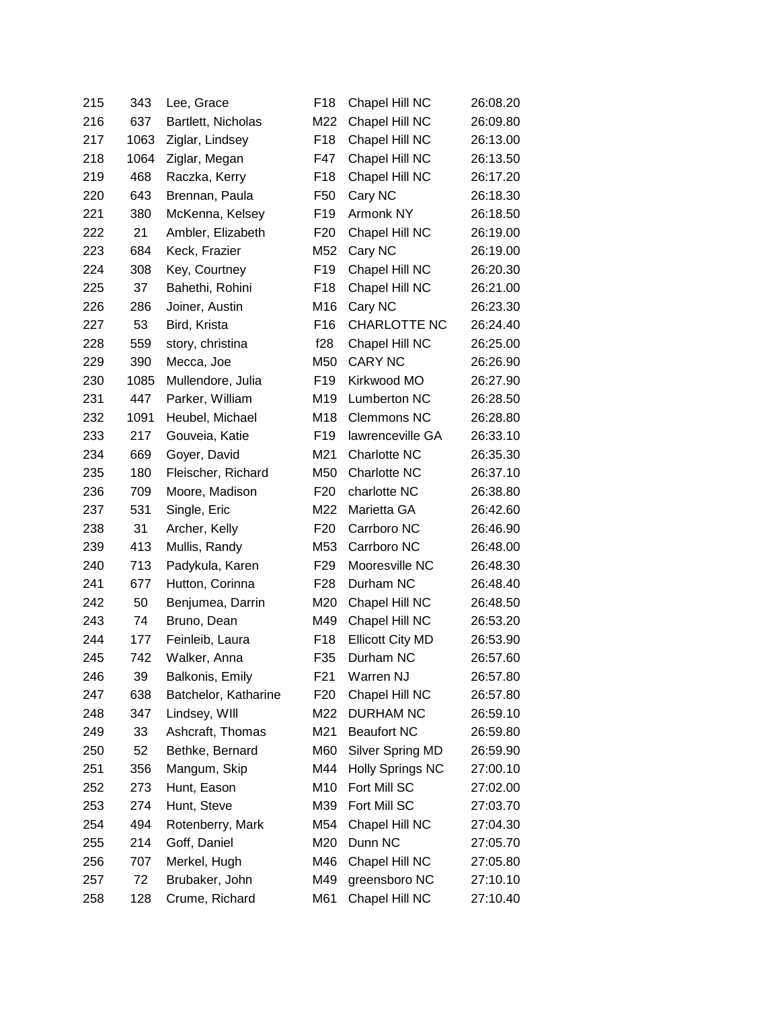| 215 | 343  | Lee, Grace           | F <sub>18</sub> | Chapel Hill NC          | 26:08.20 |
|-----|------|----------------------|-----------------|-------------------------|----------|
| 216 | 637  | Bartlett, Nicholas   | M22             | Chapel Hill NC          | 26:09.80 |
| 217 | 1063 | Ziglar, Lindsey      | F <sub>18</sub> | Chapel Hill NC          | 26:13.00 |
| 218 | 1064 | Ziglar, Megan        | F47             | Chapel Hill NC          | 26:13.50 |
| 219 | 468  | Raczka, Kerry        | F <sub>18</sub> | Chapel Hill NC          | 26:17.20 |
| 220 | 643  | Brennan, Paula       | F50             | Cary NC                 | 26:18.30 |
| 221 | 380  | McKenna, Kelsey      | F <sub>19</sub> | Armonk NY               | 26:18.50 |
| 222 | 21   | Ambler, Elizabeth    | F <sub>20</sub> | Chapel Hill NC          | 26:19.00 |
| 223 | 684  | Keck, Frazier        | M52             | Cary NC                 | 26:19.00 |
| 224 | 308  | Key, Courtney        | F <sub>19</sub> | Chapel Hill NC          | 26:20.30 |
| 225 | 37   | Bahethi, Rohini      | F <sub>18</sub> | Chapel Hill NC          | 26:21.00 |
| 226 | 286  | Joiner, Austin       | M16             | Cary NC                 | 26:23.30 |
| 227 | 53   | Bird, Krista         | F <sub>16</sub> | <b>CHARLOTTE NC</b>     | 26:24.40 |
| 228 | 559  | story, christina     | f28             | Chapel Hill NC          | 26:25.00 |
| 229 | 390  | Mecca, Joe           | M50             | <b>CARY NC</b>          | 26:26.90 |
| 230 | 1085 | Mullendore, Julia    | F <sub>19</sub> | Kirkwood MO             | 26:27.90 |
| 231 | 447  | Parker, William      | M19             | Lumberton NC            | 26:28.50 |
| 232 | 1091 | Heubel, Michael      | M18             | <b>Clemmons NC</b>      | 26:28.80 |
| 233 | 217  | Gouveia, Katie       | F <sub>19</sub> | lawrenceville GA        | 26:33.10 |
| 234 | 669  | Goyer, David         | M21             | Charlotte NC            | 26:35.30 |
| 235 | 180  | Fleischer, Richard   | M50             | Charlotte NC            | 26:37.10 |
| 236 | 709  | Moore, Madison       | F <sub>20</sub> | charlotte NC            | 26:38.80 |
| 237 | 531  | Single, Eric         | M22             | Marietta GA             | 26:42.60 |
| 238 | 31   | Archer, Kelly        | F <sub>20</sub> | Carrboro NC             | 26:46.90 |
| 239 | 413  | Mullis, Randy        | M53             | Carrboro NC             | 26:48.00 |
| 240 | 713  | Padykula, Karen      | F <sub>29</sub> | Mooresville NC          | 26:48.30 |
| 241 | 677  | Hutton, Corinna      | F28             | Durham NC               | 26:48.40 |
| 242 | 50   | Benjumea, Darrin     | M20             | Chapel Hill NC          | 26:48.50 |
| 243 | 74   | Bruno, Dean          | M49             | Chapel Hill NC          | 26:53.20 |
| 244 | 177  | Feinleib, Laura      | F <sub>18</sub> | <b>Ellicott City MD</b> | 26:53.90 |
| 245 | 742  | Walker, Anna         | F35             | Durham NC               | 26:57.60 |
| 246 | 39   | Balkonis, Emily      | F21             | Warren NJ               | 26:57.80 |
| 247 | 638  | Batchelor, Katharine | F <sub>20</sub> | Chapel Hill NC          | 26:57.80 |
| 248 | 347  | Lindsey, WIII        | M22             | <b>DURHAM NC</b>        | 26:59.10 |
| 249 | 33   | Ashcraft, Thomas     | M21             | <b>Beaufort NC</b>      | 26:59.80 |
| 250 | 52   | Bethke, Bernard      | M60             | Silver Spring MD        | 26:59.90 |
| 251 | 356  | Mangum, Skip         | M44             | <b>Holly Springs NC</b> | 27:00.10 |
| 252 | 273  | Hunt, Eason          | M10             | Fort Mill SC            | 27:02.00 |
| 253 | 274  | Hunt, Steve          | M39             | Fort Mill SC            | 27:03.70 |
| 254 | 494  | Rotenberry, Mark     | M54             | Chapel Hill NC          | 27:04.30 |
| 255 | 214  | Goff, Daniel         | M20             | Dunn NC                 | 27:05.70 |
| 256 | 707  | Merkel, Hugh         | M46             | Chapel Hill NC          | 27:05.80 |
| 257 | 72   | Brubaker, John       | M49             | greensboro NC           | 27:10.10 |
| 258 | 128  | Crume, Richard       | M61             | Chapel Hill NC          | 27:10.40 |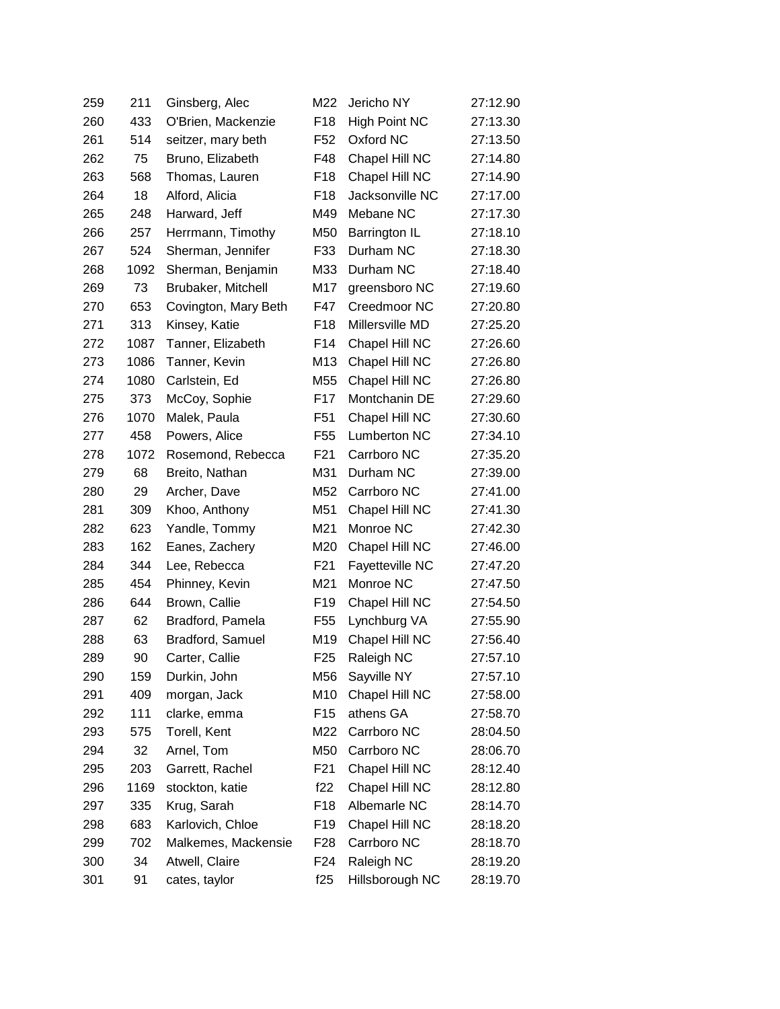| 259 | 211  | Ginsberg, Alec       | M22             | Jericho NY             | 27:12.90 |
|-----|------|----------------------|-----------------|------------------------|----------|
| 260 | 433  | O'Brien, Mackenzie   | F <sub>18</sub> | <b>High Point NC</b>   | 27:13.30 |
| 261 | 514  | seitzer, mary beth   | F52             | Oxford NC              | 27:13.50 |
| 262 | 75   | Bruno, Elizabeth     | F48             | Chapel Hill NC         | 27:14.80 |
| 263 | 568  | Thomas, Lauren       | F <sub>18</sub> | Chapel Hill NC         | 27:14.90 |
| 264 | 18   | Alford, Alicia       | F <sub>18</sub> | Jacksonville NC        | 27:17.00 |
| 265 | 248  | Harward, Jeff        | M49             | Mebane NC              | 27:17.30 |
| 266 | 257  | Herrmann, Timothy    | M50             | Barrington IL          | 27:18.10 |
| 267 | 524  | Sherman, Jennifer    | F33             | Durham NC              | 27:18.30 |
| 268 | 1092 | Sherman, Benjamin    | M33             | Durham NC              | 27:18.40 |
| 269 | 73   | Brubaker, Mitchell   | M17             | greensboro NC          | 27:19.60 |
| 270 | 653  | Covington, Mary Beth | F47             | Creedmoor NC           | 27:20.80 |
| 271 | 313  | Kinsey, Katie        | F <sub>18</sub> | Millersville MD        | 27:25.20 |
| 272 | 1087 | Tanner, Elizabeth    | F14             | Chapel Hill NC         | 27:26.60 |
| 273 | 1086 | Tanner, Kevin        | M13             | Chapel Hill NC         | 27:26.80 |
| 274 | 1080 | Carlstein, Ed        | M55             | Chapel Hill NC         | 27:26.80 |
| 275 | 373  | McCoy, Sophie        | F17             | Montchanin DE          | 27:29.60 |
| 276 | 1070 | Malek, Paula         | F <sub>51</sub> | Chapel Hill NC         | 27:30.60 |
| 277 | 458  | Powers, Alice        | F <sub>55</sub> | Lumberton NC           | 27:34.10 |
| 278 | 1072 | Rosemond, Rebecca    | F <sub>21</sub> | Carrboro NC            | 27:35.20 |
| 279 | 68   | Breito, Nathan       | M31             | Durham NC              | 27:39.00 |
| 280 | 29   | Archer, Dave         | M52             | Carrboro NC            | 27:41.00 |
| 281 | 309  | Khoo, Anthony        | M51             | Chapel Hill NC         | 27:41.30 |
| 282 | 623  | Yandle, Tommy        | M21             | Monroe NC              | 27:42.30 |
| 283 | 162  | Eanes, Zachery       | M20             | Chapel Hill NC         | 27:46.00 |
| 284 | 344  | Lee, Rebecca         | F <sub>21</sub> | <b>Fayetteville NC</b> | 27:47.20 |
| 285 | 454  | Phinney, Kevin       | M21             | Monroe NC              | 27:47.50 |
| 286 | 644  | Brown, Callie        | F <sub>19</sub> | Chapel Hill NC         | 27:54.50 |
| 287 | 62   | Bradford, Pamela     | F <sub>55</sub> | Lynchburg VA           | 27:55.90 |
| 288 | 63   | Bradford, Samuel     | M19             | Chapel Hill NC         | 27:56.40 |
| 289 | 90   | Carter, Callie       | F <sub>25</sub> | Raleigh NC             | 27:57.10 |
| 290 | 159  | Durkin, John         | M56             | Sayville NY            | 27:57.10 |
| 291 | 409  | morgan, Jack         | M10             | Chapel Hill NC         | 27:58.00 |
| 292 | 111  | clarke, emma         | F <sub>15</sub> | athens GA              | 27:58.70 |
| 293 | 575  | Torell, Kent         | M22             | Carrboro NC            | 28:04.50 |
| 294 | 32   | Arnel, Tom           | M50             | Carrboro NC            | 28:06.70 |
| 295 | 203  | Garrett, Rachel      | F <sub>21</sub> | Chapel Hill NC         | 28:12.40 |
| 296 | 1169 | stockton, katie      | f22             | Chapel Hill NC         | 28:12.80 |
| 297 | 335  | Krug, Sarah          | F <sub>18</sub> | Albemarle NC           | 28:14.70 |
| 298 | 683  | Karlovich, Chloe     | F <sub>19</sub> | Chapel Hill NC         | 28:18.20 |
| 299 | 702  | Malkemes, Mackensie  | F <sub>28</sub> | Carrboro NC            | 28:18.70 |
| 300 | 34   | Atwell, Claire       | F24             | Raleigh NC             | 28:19.20 |
| 301 | 91   | cates, taylor        | f25             | Hillsborough NC        | 28:19.70 |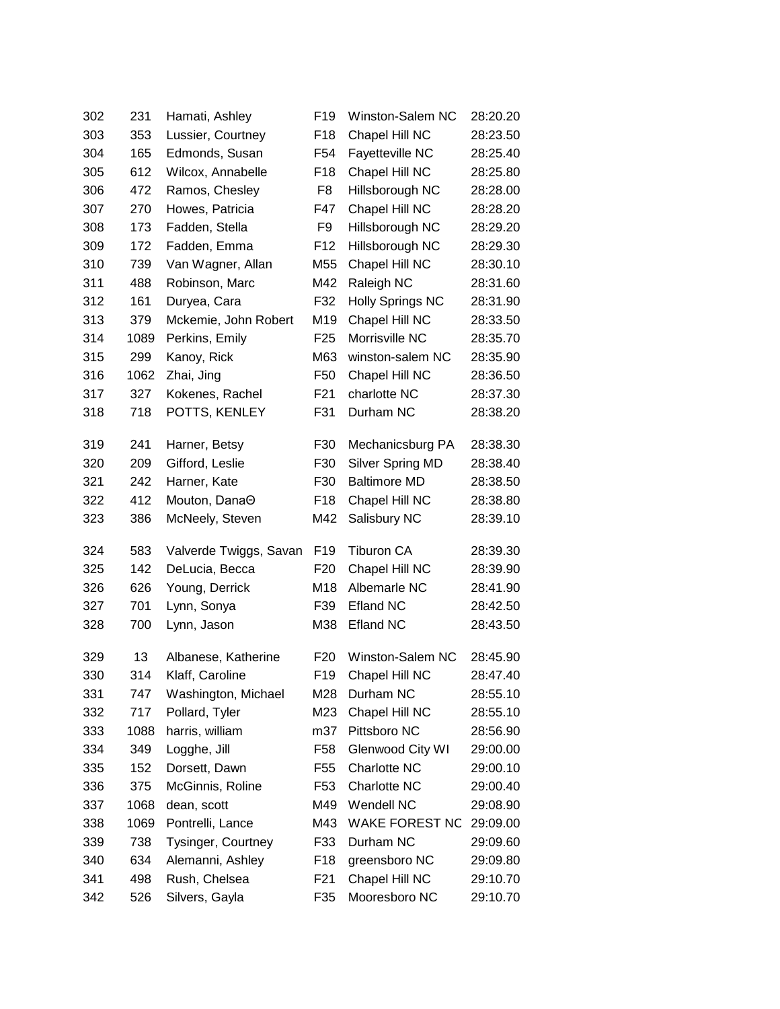| 302 | 231  | Hamati, Ashley         | F <sub>19</sub> | Winston-Salem NC        | 28:20.20 |
|-----|------|------------------------|-----------------|-------------------------|----------|
| 303 | 353  | Lussier, Courtney      | F <sub>18</sub> | Chapel Hill NC          | 28:23.50 |
| 304 | 165  | Edmonds, Susan         | F <sub>54</sub> | Fayetteville NC         | 28:25.40 |
| 305 | 612  | Wilcox, Annabelle      | F <sub>18</sub> | Chapel Hill NC          | 28:25.80 |
| 306 | 472  | Ramos, Chesley         | F8              | Hillsborough NC         | 28:28.00 |
| 307 | 270  | Howes, Patricia        | F47             | Chapel Hill NC          | 28:28.20 |
| 308 | 173  | Fadden, Stella         | F9              | Hillsborough NC         | 28:29.20 |
| 309 | 172  | Fadden, Emma           | F <sub>12</sub> | Hillsborough NC         | 28:29.30 |
| 310 | 739  | Van Wagner, Allan      | M55             | Chapel Hill NC          | 28:30.10 |
| 311 | 488  | Robinson, Marc         | M42             | Raleigh NC              | 28:31.60 |
| 312 | 161  | Duryea, Cara           | F32             | <b>Holly Springs NC</b> | 28:31.90 |
| 313 | 379  | Mckemie, John Robert   | M19             | Chapel Hill NC          | 28:33.50 |
| 314 | 1089 | Perkins, Emily         | F <sub>25</sub> | Morrisville NC          | 28:35.70 |
| 315 | 299  | Kanoy, Rick            | M63             | winston-salem NC        | 28:35.90 |
| 316 | 1062 | Zhai, Jing             | F <sub>50</sub> | Chapel Hill NC          | 28:36.50 |
| 317 | 327  | Kokenes, Rachel        | F <sub>21</sub> | charlotte NC            | 28:37.30 |
| 318 | 718  | POTTS, KENLEY          | F31             | Durham NC               | 28:38.20 |
| 319 | 241  | Harner, Betsy          | F30             | Mechanicsburg PA        | 28:38.30 |
| 320 | 209  | Gifford, Leslie        | F30             | Silver Spring MD        | 28:38.40 |
| 321 | 242  | Harner, Kate           | F30             | <b>Baltimore MD</b>     | 28:38.50 |
| 322 | 412  | Mouton, DanaO          | F <sub>18</sub> | Chapel Hill NC          | 28:38.80 |
| 323 | 386  | McNeely, Steven        | M42             | Salisbury NC            | 28:39.10 |
| 324 | 583  | Valverde Twiggs, Savan | F <sub>19</sub> | <b>Tiburon CA</b>       | 28:39.30 |
| 325 | 142  | DeLucia, Becca         | F <sub>20</sub> | Chapel Hill NC          | 28:39.90 |
| 326 | 626  | Young, Derrick         | M18             | Albemarle NC            | 28:41.90 |
| 327 | 701  | Lynn, Sonya            | F39             | <b>Efland NC</b>        | 28:42.50 |
| 328 | 700  | Lynn, Jason            | M38             | <b>Efland NC</b>        | 28:43.50 |
| 329 | 13   | Albanese, Katherine    | F <sub>20</sub> | Winston-Salem NC        | 28:45.90 |
| 330 | 314  | Klaff, Caroline        | F <sub>19</sub> | Chapel Hill NC          | 28:47.40 |
| 331 | 747  | Washington, Michael    | M28             | Durham NC               | 28:55.10 |
| 332 | 717  | Pollard, Tyler         | M23             | Chapel Hill NC          | 28:55.10 |
| 333 | 1088 | harris, william        | m37             | Pittsboro NC            | 28:56.90 |
| 334 | 349  | Logghe, Jill           | F <sub>58</sub> | Glenwood City WI        | 29:00.00 |
| 335 | 152  | Dorsett, Dawn          | F <sub>55</sub> | Charlotte NC            | 29:00.10 |
| 336 | 375  | McGinnis, Roline       | F53             | Charlotte NC            | 29:00.40 |
| 337 | 1068 | dean, scott            | M49             | Wendell NC              | 29:08.90 |
| 338 | 1069 | Pontrelli, Lance       | M43             | <b>WAKE FOREST NC</b>   | 29:09.00 |
| 339 | 738  | Tysinger, Courtney     | F33             | Durham NC               | 29:09.60 |
| 340 | 634  | Alemanni, Ashley       | F18             | greensboro NC           | 29:09.80 |
| 341 | 498  | Rush, Chelsea          | F21             | Chapel Hill NC          | 29:10.70 |
| 342 | 526  | Silvers, Gayla         | F35             | Mooresboro NC           | 29:10.70 |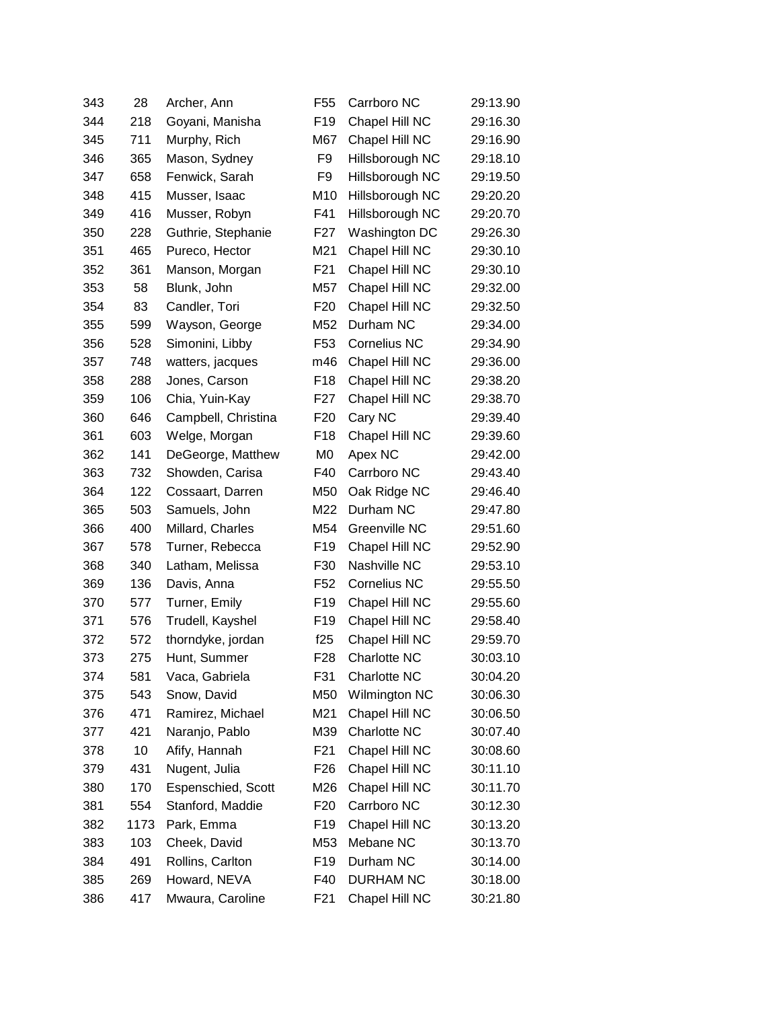| 343 | 28   | Archer, Ann         | F <sub>55</sub>  | Carrboro NC         | 29:13.90 |
|-----|------|---------------------|------------------|---------------------|----------|
| 344 | 218  | Goyani, Manisha     | F <sub>19</sub>  | Chapel Hill NC      | 29:16.30 |
| 345 | 711  | Murphy, Rich        | M67              | Chapel Hill NC      | 29:16.90 |
| 346 | 365  | Mason, Sydney       | F9               | Hillsborough NC     | 29:18.10 |
| 347 | 658  | Fenwick, Sarah      | F9               | Hillsborough NC     | 29:19.50 |
| 348 | 415  | Musser, Isaac       | M10              | Hillsborough NC     | 29:20.20 |
| 349 | 416  | Musser, Robyn       | F41              | Hillsborough NC     | 29:20.70 |
| 350 | 228  | Guthrie, Stephanie  | F <sub>27</sub>  | Washington DC       | 29:26.30 |
| 351 | 465  | Pureco, Hector      | M21              | Chapel Hill NC      | 29:30.10 |
| 352 | 361  | Manson, Morgan      | F <sub>21</sub>  | Chapel Hill NC      | 29:30.10 |
| 353 | 58   | Blunk, John         | M57              | Chapel Hill NC      | 29:32.00 |
| 354 | 83   | Candler, Tori       | F <sub>20</sub>  | Chapel Hill NC      | 29:32.50 |
| 355 | 599  | Wayson, George      | M52              | Durham NC           | 29:34.00 |
| 356 | 528  | Simonini, Libby     | F <sub>53</sub>  | <b>Cornelius NC</b> | 29:34.90 |
| 357 | 748  | watters, jacques    | m46              | Chapel Hill NC      | 29:36.00 |
| 358 | 288  | Jones, Carson       | F <sub>18</sub>  | Chapel Hill NC      | 29:38.20 |
| 359 | 106  | Chia, Yuin-Kay      | F27              | Chapel Hill NC      | 29:38.70 |
| 360 | 646  | Campbell, Christina | F <sub>20</sub>  | Cary NC             | 29:39.40 |
| 361 | 603  | Welge, Morgan       | F <sub>18</sub>  | Chapel Hill NC      | 29:39.60 |
| 362 | 141  | DeGeorge, Matthew   | M <sub>0</sub>   | Apex NC             | 29:42.00 |
| 363 | 732  | Showden, Carisa     | F40              | Carrboro NC         | 29:43.40 |
| 364 | 122  | Cossaart, Darren    | M50              | Oak Ridge NC        | 29:46.40 |
| 365 | 503  | Samuels, John       | M22              | Durham NC           | 29:47.80 |
| 366 | 400  | Millard, Charles    | M54              | Greenville NC       | 29:51.60 |
| 367 | 578  | Turner, Rebecca     | F <sub>19</sub>  | Chapel Hill NC      | 29:52.90 |
| 368 | 340  | Latham, Melissa     | F30              | Nashville NC        | 29:53.10 |
| 369 | 136  | Davis, Anna         | F <sub>52</sub>  | <b>Cornelius NC</b> | 29:55.50 |
| 370 | 577  | Turner, Emily       | F <sub>19</sub>  | Chapel Hill NC      | 29:55.60 |
| 371 | 576  | Trudell, Kayshel    | F <sub>19</sub>  | Chapel Hill NC      | 29:58.40 |
| 372 | 572  | thorndyke, jordan   | f25              | Chapel Hill NC      | 29:59.70 |
| 373 | 275  | Hunt, Summer        | F <sub>28</sub>  | Charlotte NC        | 30:03.10 |
| 374 | 581  | Vaca, Gabriela      | F31              | Charlotte NC        | 30:04.20 |
| 375 | 543  | Snow, David         | M50              | Wilmington NC       | 30:06.30 |
| 376 | 471  | Ramirez, Michael    | M21              | Chapel Hill NC      | 30:06.50 |
| 377 | 421  | Naranjo, Pablo      | M39              | Charlotte NC        | 30:07.40 |
| 378 | 10   | Afify, Hannah       | F21              | Chapel Hill NC      | 30:08.60 |
| 379 | 431  | Nugent, Julia       | F <sub>26</sub>  | Chapel Hill NC      | 30:11.10 |
| 380 | 170  | Espenschied, Scott  | M26              | Chapel Hill NC      | 30:11.70 |
| 381 | 554  | Stanford, Maddie    | F <sub>20</sub>  | Carrboro NC         | 30:12.30 |
| 382 | 1173 | Park, Emma          | F19              | Chapel Hill NC      | 30:13.20 |
| 383 | 103  | Cheek, David        | M53              | Mebane NC           | 30:13.70 |
| 384 | 491  | Rollins, Carlton    | F <sub>19</sub>  | Durham NC           | 30:14.00 |
| 385 | 269  | Howard, NEVA        | F40              | <b>DURHAM NC</b>    | 30:18.00 |
| 386 | 417  | Mwaura, Caroline    | F <sub>2</sub> 1 | Chapel Hill NC      | 30:21.80 |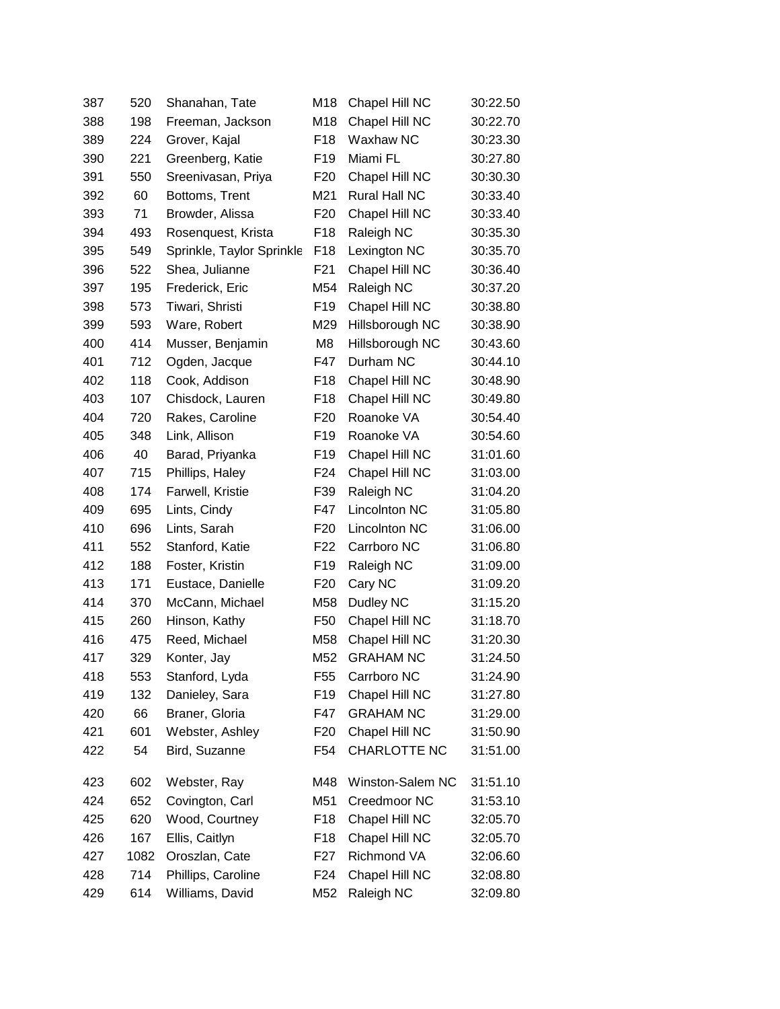| 387 | 520  | Shanahan, Tate            | M18             | Chapel Hill NC       | 30:22.50 |
|-----|------|---------------------------|-----------------|----------------------|----------|
| 388 | 198  | Freeman, Jackson          | M18             | Chapel Hill NC       | 30:22.70 |
| 389 | 224  | Grover, Kajal             | F <sub>18</sub> | Waxhaw NC            | 30:23.30 |
| 390 | 221  | Greenberg, Katie          | F <sub>19</sub> | Miami FL             | 30:27.80 |
| 391 | 550  | Sreenivasan, Priya        | F <sub>20</sub> | Chapel Hill NC       | 30:30.30 |
| 392 | 60   | Bottoms, Trent            | M21             | <b>Rural Hall NC</b> | 30:33.40 |
| 393 | 71   | Browder, Alissa           | F <sub>20</sub> | Chapel Hill NC       | 30:33.40 |
| 394 | 493  | Rosenquest, Krista        | F <sub>18</sub> | Raleigh NC           | 30:35.30 |
| 395 | 549  | Sprinkle, Taylor Sprinkle | F <sub>18</sub> | Lexington NC         | 30:35.70 |
| 396 | 522  | Shea, Julianne            | F <sub>21</sub> | Chapel Hill NC       | 30:36.40 |
| 397 | 195  | Frederick, Eric           | M54             | Raleigh NC           | 30:37.20 |
| 398 | 573  | Tiwari, Shristi           | F <sub>19</sub> | Chapel Hill NC       | 30:38.80 |
| 399 | 593  | Ware, Robert              | M29             | Hillsborough NC      | 30:38.90 |
| 400 | 414  | Musser, Benjamin          | M8              | Hillsborough NC      | 30:43.60 |
| 401 | 712  | Ogden, Jacque             | F47             | Durham NC            | 30:44.10 |
| 402 | 118  | Cook, Addison             | F <sub>18</sub> | Chapel Hill NC       | 30:48.90 |
| 403 | 107  | Chisdock, Lauren          | F <sub>18</sub> | Chapel Hill NC       | 30:49.80 |
| 404 | 720  | Rakes, Caroline           | F <sub>20</sub> | Roanoke VA           | 30:54.40 |
| 405 | 348  | Link, Allison             | F <sub>19</sub> | Roanoke VA           | 30:54.60 |
| 406 | 40   | Barad, Priyanka           | F <sub>19</sub> | Chapel Hill NC       | 31:01.60 |
| 407 | 715  | Phillips, Haley           | F <sub>24</sub> | Chapel Hill NC       | 31:03.00 |
| 408 | 174  | Farwell, Kristie          | F39             | Raleigh NC           | 31:04.20 |
| 409 | 695  | Lints, Cindy              | F47             | <b>Lincolnton NC</b> | 31:05.80 |
| 410 | 696  | Lints, Sarah              | F <sub>20</sub> | Lincolnton NC        | 31:06.00 |
| 411 | 552  | Stanford, Katie           | F <sub>22</sub> | Carrboro NC          | 31:06.80 |
| 412 | 188  | Foster, Kristin           | F <sub>19</sub> | Raleigh NC           | 31:09.00 |
| 413 | 171  | Eustace, Danielle         | F <sub>20</sub> | Cary NC              | 31:09.20 |
| 414 | 370  | McCann, Michael           | M58             | Dudley NC            | 31:15.20 |
| 415 | 260  | Hinson, Kathy             | F <sub>50</sub> | Chapel Hill NC       | 31:18.70 |
| 416 | 475  | Reed, Michael             | M58             | Chapel Hill NC       | 31:20.30 |
| 417 | 329  | Konter, Jay               | M52             | <b>GRAHAM NC</b>     | 31:24.50 |
| 418 | 553  | Stanford, Lyda            | F <sub>55</sub> | Carrboro NC          | 31:24.90 |
| 419 | 132  | Danieley, Sara            | F <sub>19</sub> | Chapel Hill NC       | 31:27.80 |
| 420 | 66   | Braner, Gloria            | F47             | <b>GRAHAM NC</b>     | 31:29.00 |
| 421 | 601  | Webster, Ashley           | F <sub>20</sub> | Chapel Hill NC       | 31:50.90 |
| 422 | 54   | Bird, Suzanne             | F <sub>54</sub> | CHARLOTTE NC         | 31:51.00 |
| 423 | 602  | Webster, Ray              | M48             | Winston-Salem NC     | 31:51.10 |
| 424 | 652  | Covington, Carl           | M51             | Creedmoor NC         | 31:53.10 |
| 425 | 620  | Wood, Courtney            | F <sub>18</sub> | Chapel Hill NC       | 32:05.70 |
| 426 | 167  | Ellis, Caitlyn            | F <sub>18</sub> | Chapel Hill NC       | 32:05.70 |
| 427 | 1082 | Oroszlan, Cate            | F27             | Richmond VA          | 32:06.60 |
| 428 | 714  | Phillips, Caroline        | F <sub>24</sub> | Chapel Hill NC       | 32:08.80 |
| 429 | 614  | Williams, David           | M52             | Raleigh NC           | 32:09.80 |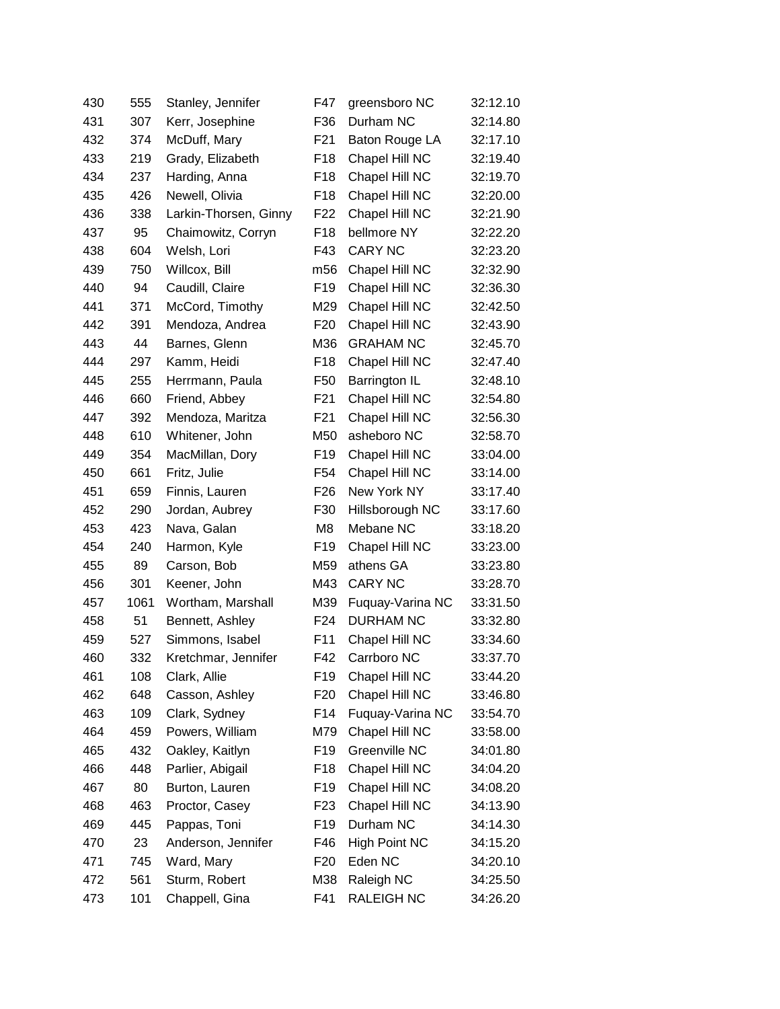| 430 | 555  | Stanley, Jennifer     | F47             | greensboro NC        | 32:12.10 |
|-----|------|-----------------------|-----------------|----------------------|----------|
| 431 | 307  | Kerr, Josephine       | F36             | Durham NC            | 32:14.80 |
| 432 | 374  | McDuff, Mary          | F <sub>21</sub> | Baton Rouge LA       | 32:17.10 |
| 433 | 219  | Grady, Elizabeth      | F <sub>18</sub> | Chapel Hill NC       | 32:19.40 |
| 434 | 237  | Harding, Anna         | F <sub>18</sub> | Chapel Hill NC       | 32:19.70 |
| 435 | 426  | Newell, Olivia        | F <sub>18</sub> | Chapel Hill NC       | 32:20.00 |
| 436 | 338  | Larkin-Thorsen, Ginny | F <sub>22</sub> | Chapel Hill NC       | 32:21.90 |
| 437 | 95   | Chaimowitz, Corryn    | F <sub>18</sub> | bellmore NY          | 32:22.20 |
| 438 | 604  | Welsh, Lori           | F43             | <b>CARY NC</b>       | 32:23.20 |
| 439 | 750  | Willcox, Bill         | m56             | Chapel Hill NC       | 32:32.90 |
| 440 | 94   | Caudill, Claire       | F <sub>19</sub> | Chapel Hill NC       | 32:36.30 |
| 441 | 371  | McCord, Timothy       | M29             | Chapel Hill NC       | 32:42.50 |
| 442 | 391  | Mendoza, Andrea       | F <sub>20</sub> | Chapel Hill NC       | 32:43.90 |
| 443 | 44   | Barnes, Glenn         | M36             | <b>GRAHAM NC</b>     | 32:45.70 |
| 444 | 297  | Kamm, Heidi           | F <sub>18</sub> | Chapel Hill NC       | 32:47.40 |
| 445 | 255  | Herrmann, Paula       | F <sub>50</sub> | Barrington IL        | 32:48.10 |
| 446 | 660  | Friend, Abbey         | F <sub>21</sub> | Chapel Hill NC       | 32:54.80 |
| 447 | 392  | Mendoza, Maritza      | F <sub>21</sub> | Chapel Hill NC       | 32:56.30 |
| 448 | 610  | Whitener, John        | M50             | asheboro NC          | 32:58.70 |
| 449 | 354  | MacMillan, Dory       | F <sub>19</sub> | Chapel Hill NC       | 33:04.00 |
| 450 | 661  | Fritz, Julie          | F <sub>54</sub> | Chapel Hill NC       | 33:14.00 |
| 451 | 659  | Finnis, Lauren        | F <sub>26</sub> | New York NY          | 33:17.40 |
| 452 | 290  | Jordan, Aubrey        | F30             | Hillsborough NC      | 33:17.60 |
| 453 | 423  | Nava, Galan           | M8              | Mebane NC            | 33:18.20 |
| 454 | 240  | Harmon, Kyle          | F <sub>19</sub> | Chapel Hill NC       | 33:23.00 |
| 455 | 89   | Carson, Bob           | M59             | athens GA            | 33:23.80 |
| 456 | 301  | Keener, John          | M43             | <b>CARY NC</b>       | 33:28.70 |
| 457 | 1061 | Wortham, Marshall     | M39             | Fuquay-Varina NC     | 33:31.50 |
| 458 | 51   | Bennett, Ashley       | F <sub>24</sub> | <b>DURHAM NC</b>     | 33:32.80 |
| 459 | 527  | Simmons, Isabel       | F11             | Chapel Hill NC       | 33:34.60 |
| 460 | 332  | Kretchmar, Jennifer   | F42             | Carrboro NC          | 33:37.70 |
| 461 | 108  | Clark, Allie          | F <sub>19</sub> | Chapel Hill NC       | 33:44.20 |
| 462 | 648  | Casson, Ashley        | F <sub>20</sub> | Chapel Hill NC       | 33:46.80 |
| 463 | 109  | Clark, Sydney         | F14             | Fuquay-Varina NC     | 33:54.70 |
| 464 | 459  | Powers, William       | M79             | Chapel Hill NC       | 33:58.00 |
| 465 | 432  | Oakley, Kaitlyn       | F <sub>19</sub> | Greenville NC        | 34:01.80 |
| 466 | 448  | Parlier, Abigail      | F <sub>18</sub> | Chapel Hill NC       | 34:04.20 |
| 467 | 80   | Burton, Lauren        | F <sub>19</sub> | Chapel Hill NC       | 34:08.20 |
| 468 | 463  | Proctor, Casey        | F <sub>23</sub> | Chapel Hill NC       | 34:13.90 |
| 469 | 445  | Pappas, Toni          | F <sub>19</sub> | Durham NC            | 34:14.30 |
| 470 | 23   | Anderson, Jennifer    | F46             | <b>High Point NC</b> | 34:15.20 |
| 471 | 745  | Ward, Mary            | F <sub>20</sub> | Eden NC              | 34:20.10 |
| 472 | 561  | Sturm, Robert         | M38             | Raleigh NC           | 34:25.50 |
| 473 | 101  | Chappell, Gina        | F41             | <b>RALEIGH NC</b>    | 34:26.20 |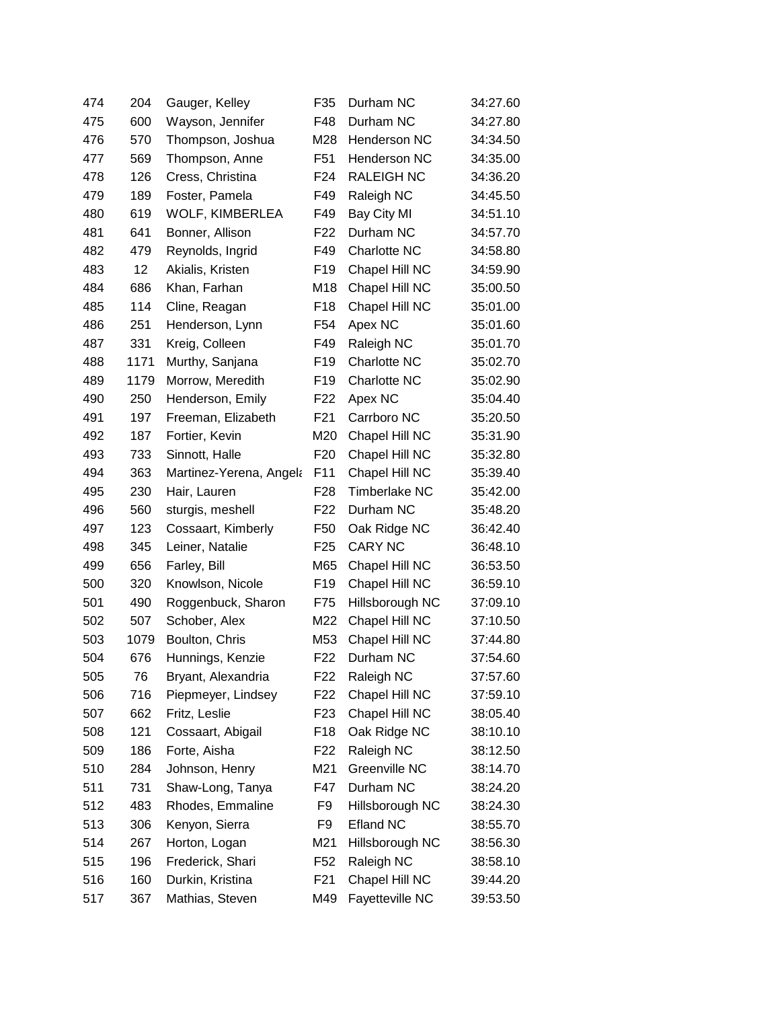| 474 | 204  | Gauger, Kelley          | F <sub>35</sub> | Durham NC            | 34:27.60 |
|-----|------|-------------------------|-----------------|----------------------|----------|
| 475 | 600  | Wayson, Jennifer        | F48             | Durham NC            | 34:27.80 |
| 476 | 570  | Thompson, Joshua        | M28             | <b>Henderson NC</b>  | 34:34.50 |
| 477 | 569  | Thompson, Anne          | F51             | Henderson NC         | 34:35.00 |
| 478 | 126  | Cress, Christina        | F <sub>24</sub> | <b>RALEIGH NC</b>    | 34:36.20 |
| 479 | 189  | Foster, Pamela          | F49             | Raleigh NC           | 34:45.50 |
| 480 | 619  | WOLF, KIMBERLEA         | F49             | Bay City MI          | 34:51.10 |
| 481 | 641  | Bonner, Allison         | F <sub>22</sub> | Durham NC            | 34:57.70 |
| 482 | 479  | Reynolds, Ingrid        | F49             | <b>Charlotte NC</b>  | 34:58.80 |
| 483 | 12   | Akialis, Kristen        | F <sub>19</sub> | Chapel Hill NC       | 34:59.90 |
| 484 | 686  | Khan, Farhan            | M18             | Chapel Hill NC       | 35:00.50 |
| 485 | 114  | Cline, Reagan           | F <sub>18</sub> | Chapel Hill NC       | 35:01.00 |
| 486 | 251  | Henderson, Lynn         | F54             | Apex NC              | 35:01.60 |
| 487 | 331  | Kreig, Colleen          | F49             | Raleigh NC           | 35:01.70 |
| 488 | 1171 | Murthy, Sanjana         | F <sub>19</sub> | Charlotte NC         | 35:02.70 |
| 489 | 1179 | Morrow, Meredith        | F <sub>19</sub> | <b>Charlotte NC</b>  | 35:02.90 |
| 490 | 250  | Henderson, Emily        | F22             | Apex NC              | 35:04.40 |
| 491 | 197  | Freeman, Elizabeth      | F <sub>21</sub> | Carrboro NC          | 35:20.50 |
| 492 | 187  | Fortier, Kevin          | M20             | Chapel Hill NC       | 35:31.90 |
| 493 | 733  | Sinnott, Halle          | F <sub>20</sub> | Chapel Hill NC       | 35:32.80 |
| 494 | 363  | Martinez-Yerena, Angela | F11             | Chapel Hill NC       | 35:39.40 |
| 495 | 230  | Hair, Lauren            | F <sub>28</sub> | <b>Timberlake NC</b> | 35:42.00 |
| 496 | 560  | sturgis, meshell        | F <sub>22</sub> | Durham NC            | 35:48.20 |
| 497 | 123  | Cossaart, Kimberly      | F50             | Oak Ridge NC         | 36:42.40 |
| 498 | 345  | Leiner, Natalie         | F <sub>25</sub> | <b>CARY NC</b>       | 36:48.10 |
| 499 | 656  | Farley, Bill            | M65             | Chapel Hill NC       | 36:53.50 |
| 500 | 320  | Knowlson, Nicole        | F <sub>19</sub> | Chapel Hill NC       | 36:59.10 |
| 501 | 490  | Roggenbuck, Sharon      | F75             | Hillsborough NC      | 37:09.10 |
| 502 | 507  | Schober, Alex           | M22             | Chapel Hill NC       | 37:10.50 |
| 503 | 1079 | Boulton, Chris          | M53             | Chapel Hill NC       | 37:44.80 |
| 504 | 676  | Hunnings, Kenzie        | F <sub>22</sub> | Durham NC            | 37:54.60 |
| 505 | 76   | Bryant, Alexandria      | F22             | Raleigh NC           | 37:57.60 |
| 506 | 716  | Piepmeyer, Lindsey      | F <sub>22</sub> | Chapel Hill NC       | 37:59.10 |
| 507 | 662  | Fritz, Leslie           | F <sub>23</sub> | Chapel Hill NC       | 38:05.40 |
| 508 | 121  | Cossaart, Abigail       | F <sub>18</sub> | Oak Ridge NC         | 38:10.10 |
| 509 | 186  | Forte, Aisha            | F22             | Raleigh NC           | 38:12.50 |
| 510 | 284  | Johnson, Henry          | M21             | Greenville NC        | 38:14.70 |
| 511 | 731  | Shaw-Long, Tanya        | F47             | Durham NC            | 38:24.20 |
| 512 | 483  | Rhodes, Emmaline        | F <sub>9</sub>  | Hillsborough NC      | 38:24.30 |
| 513 | 306  | Kenyon, Sierra          | F <sub>9</sub>  | <b>Efland NC</b>     | 38:55.70 |
| 514 | 267  | Horton, Logan           | M21             | Hillsborough NC      | 38:56.30 |
| 515 | 196  | Frederick, Shari        | F <sub>52</sub> | Raleigh NC           | 38:58.10 |
| 516 | 160  | Durkin, Kristina        | F21             | Chapel Hill NC       | 39:44.20 |
| 517 | 367  | Mathias, Steven         | M49             | Fayetteville NC      | 39:53.50 |